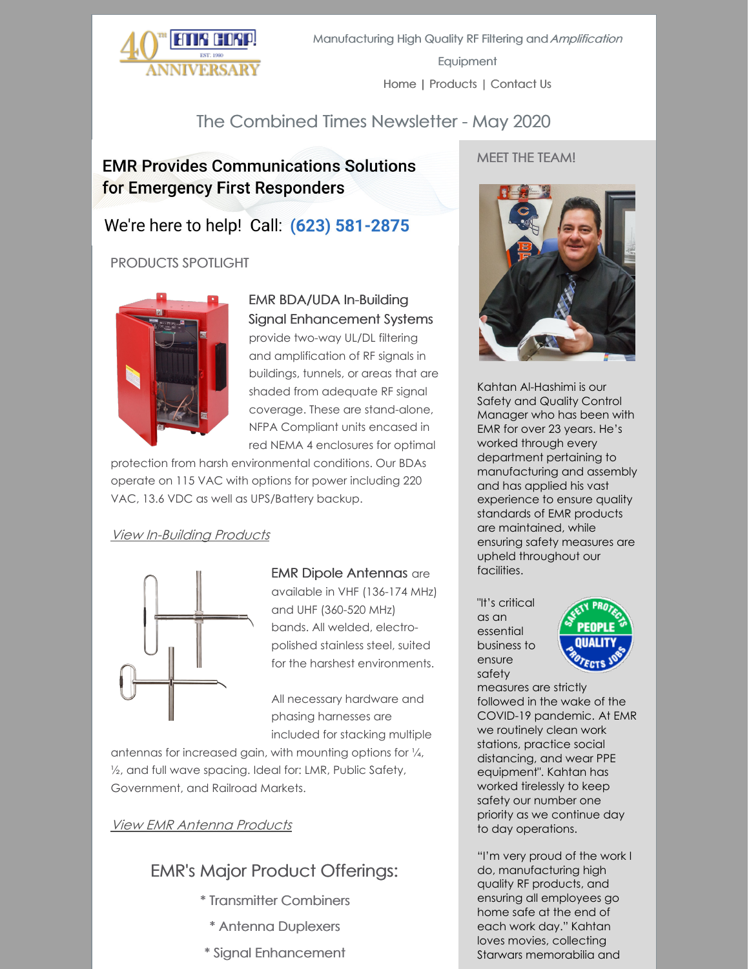

## The Combined Times Newsletter - May 2020

## **EMR Provides Communications Solutions** for Emergency First Responders

## We're here to help! Call: (623) 581-2875

### PRODUCTS SPOTLIGHT



#### EMR BDA/UDA In-Building Signal Enhancement Systems

provide two-way UL/DL filtering and amplification of RF signals in buildings, tunnels, or areas that are shaded from adequate RF signal coverage. These are stand-alone, NFPA Compliant units encased in red NEMA 4 enclosures for optimal

protection from harsh environmental conditions. Our BDAs operate on 115 VAC with options for power including 220 VAC, 13.6 VDC as well as UPS/Battery backup.

#### View [In-Building](http://www.emrcorp.com/cart/categories?category=13&name=In-Building_Systems) Products



#### EMR Dipole Antennas are

available in VHF (136-174 MHz) and UHF (360-520 MHz) bands. All welded, electropolished stainless steel, suited for the harshest environments.

All necessary hardware and phasing harnesses are included for stacking multiple

antennas for increased gain, with mounting options for ¼, ½, and full wave spacing. Ideal for: LMR, Public Safety, Government, and Railroad Markets.

### View EMR [Antenna](http://www.emrcorp.com/cart/categories?category=7&name=Antennas) Products

# EMR's Major Product Offerings:

- \* Transmitter Combiners
- \* Antenna Duplexers
- \* Signal Enhancement

#### MEET THE TEAM!



Kahtan Al-Hashimi is our Safety and Quality Control Manager who has been with EMR for over 23 years. He's worked through every department pertaining to manufacturing and assembly and has applied his vast experience to ensure quality standards of EMR products are maintained, while ensuring safety measures are upheld throughout our facilities.

"It's critical as an essential business to ensure safety



measures are strictly followed in the wake of the COVID-19 pandemic. At EMR we routinely clean work stations, practice social distancing, and wear PPE equipment". Kahtan has worked tirelessly to keep safety our number one priority as we continue day to day operations.

"I'm very proud of the work I do, manufacturing high quality RF products, and ensuring all employees go home safe at the end of each work day." Kahtan loves movies, collecting Starwars memorabilia and